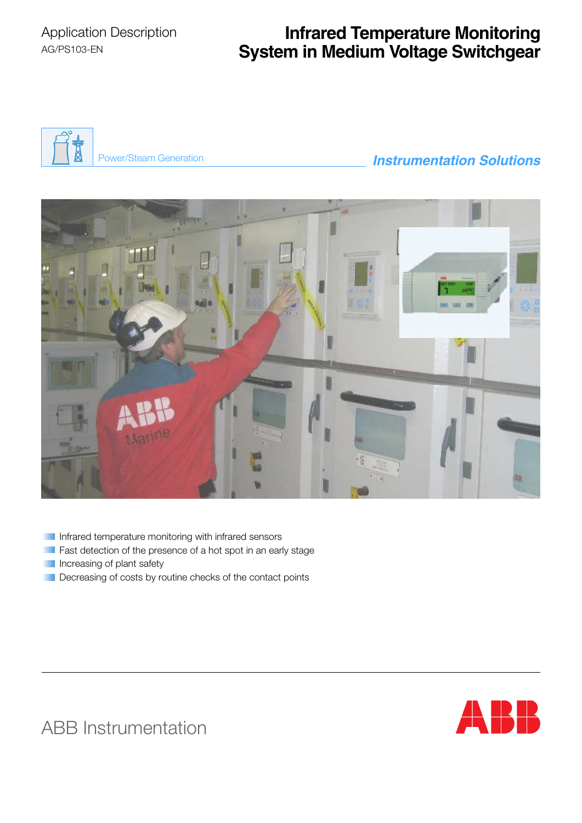# **Infrared Temperature Monitoring System in Medium Voltage Switchgear**



## Power/Steam Generation *Instrumentation Solutions*



- Infrared temperature monitoring with infrared sensors
- **Fast detection of the presence of a hot spot in an early stage**
- **Increasing of plant safety**
- Decreasing of costs by routine checks of the contact points



ABB Instrumentation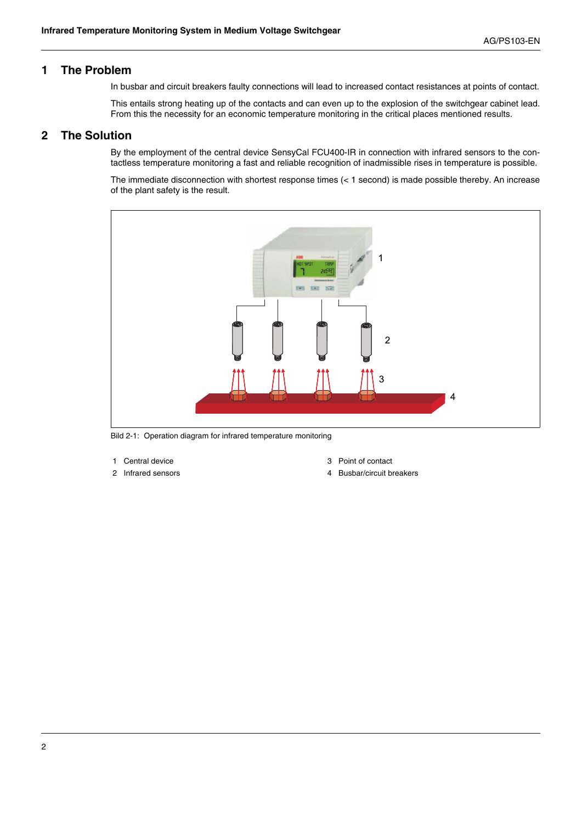## **1 The Problem**

In busbar and circuit breakers faulty connections will lead to increased contact resistances at points of contact.

This entails strong heating up of the contacts and can even up to the explosion of the switchgear cabinet lead. From this the necessity for an economic temperature monitoring in the critical places mentioned results.

## **2 The Solution**

By the employment of the central device SensyCal FCU400-IR in connection with infrared sensors to the contactless temperature monitoring a fast and reliable recognition of inadmissible rises in temperature is possible.

The immediate disconnection with shortest response times (< 1 second) is made possible thereby. An increase of the plant safety is the result.



Bild 2-1: Operation diagram for infrared temperature monitoring

- 
- 
- 1 Central device 3 Point of contact
- 2 Infrared sensors **4 Busbar/circuit breakers**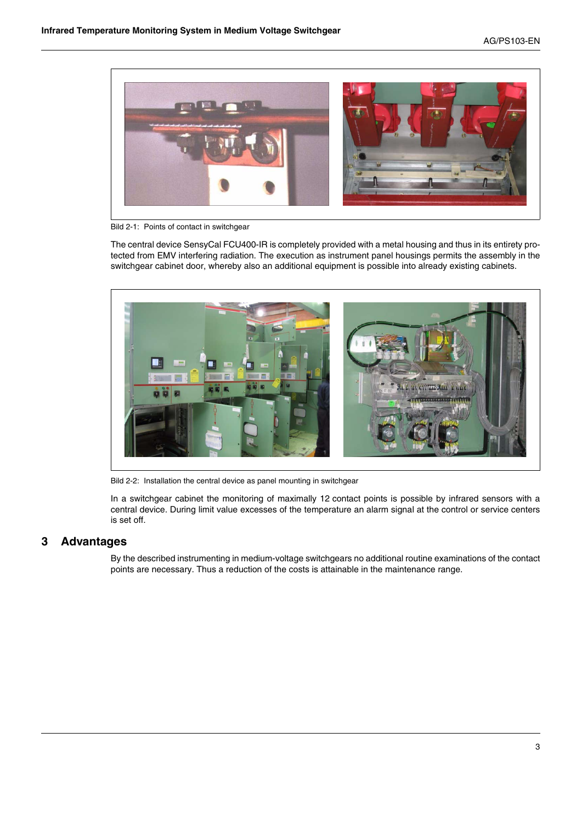

Bild 2-1: Points of contact in switchgear

The central device SensyCal FCU400-IR is completely provided with a metal housing and thus in its entirety protected from EMV interfering radiation. The execution as instrument panel housings permits the assembly in the switchgear cabinet door, whereby also an additional equipment is possible into already existing cabinets.



Bild 2-2: Installation the central device as panel mounting in switchgear

In a switchgear cabinet the monitoring of maximally 12 contact points is possible by infrared sensors with a central device. During limit value excesses of the temperature an alarm signal at the control or service centers is set off.

## **3 Advantages**

By the described instrumenting in medium-voltage switchgears no additional routine examinations of the contact points are necessary. Thus a reduction of the costs is attainable in the maintenance range.